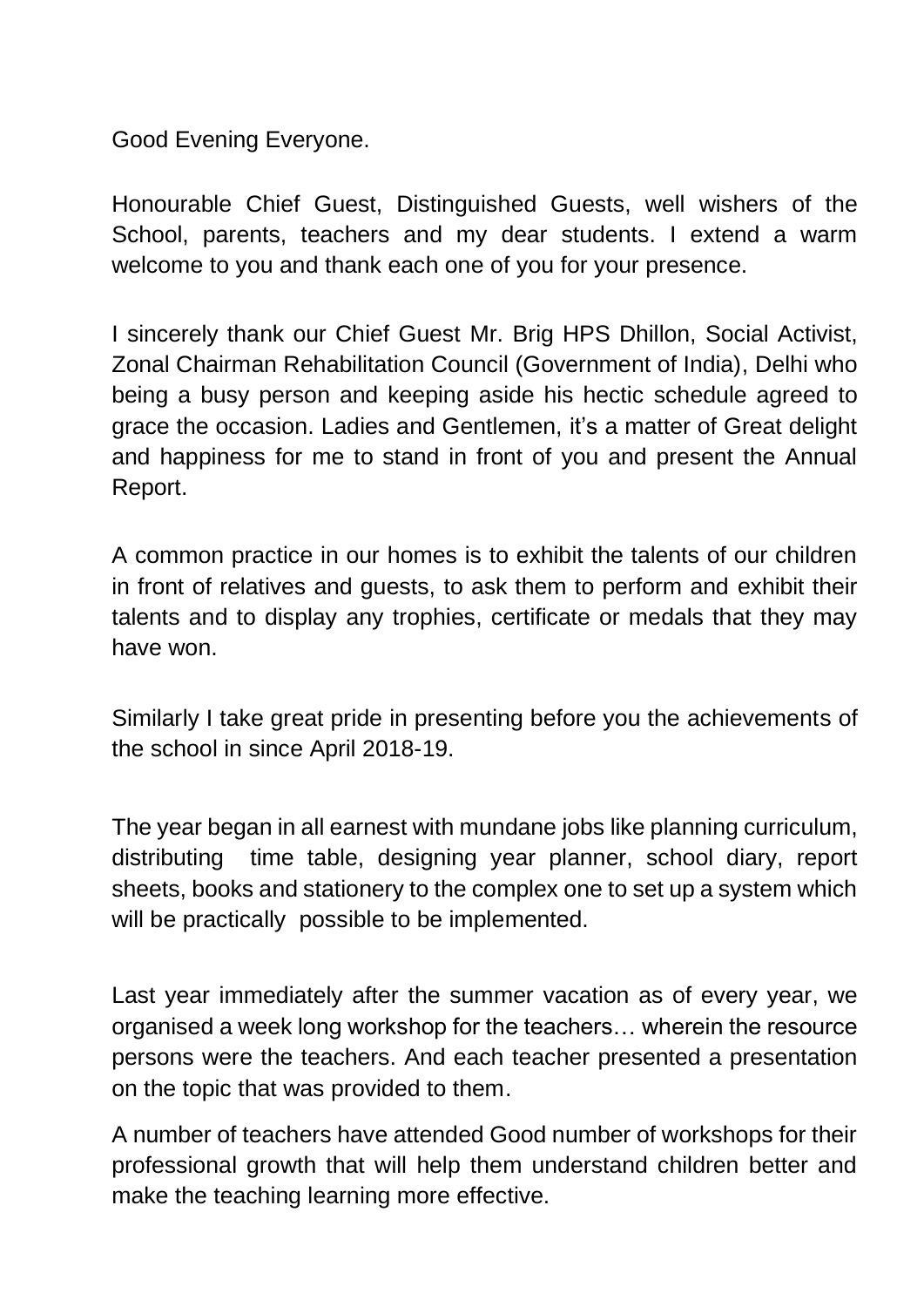Good Evening Everyone.

Honourable Chief Guest, Distinguished Guests, well wishers of the School, parents, teachers and my dear students. I extend a warm welcome to you and thank each one of you for your presence.

I sincerely thank our Chief Guest Mr. Brig HPS Dhillon, Social Activist, Zonal Chairman Rehabilitation Council (Government of India), Delhi who being a busy person and keeping aside his hectic schedule agreed to grace the occasion. Ladies and Gentlemen, it's a matter of Great delight and happiness for me to stand in front of you and present the Annual Report.

A common practice in our homes is to exhibit the talents of our children in front of relatives and guests, to ask them to perform and exhibit their talents and to display any trophies, certificate or medals that they may have won.

Similarly I take great pride in presenting before you the achievements of the school in since April 2018-19.

The year began in all earnest with mundane jobs like planning curriculum, distributing time table, designing year planner, school diary, report sheets, books and stationery to the complex one to set up a system which will be practically possible to be implemented.

Last year immediately after the summer vacation as of every year, we organised a week long workshop for the teachers… wherein the resource persons were the teachers. And each teacher presented a presentation on the topic that was provided to them.

A number of teachers have attended Good number of workshops for their professional growth that will help them understand children better and make the teaching learning more effective.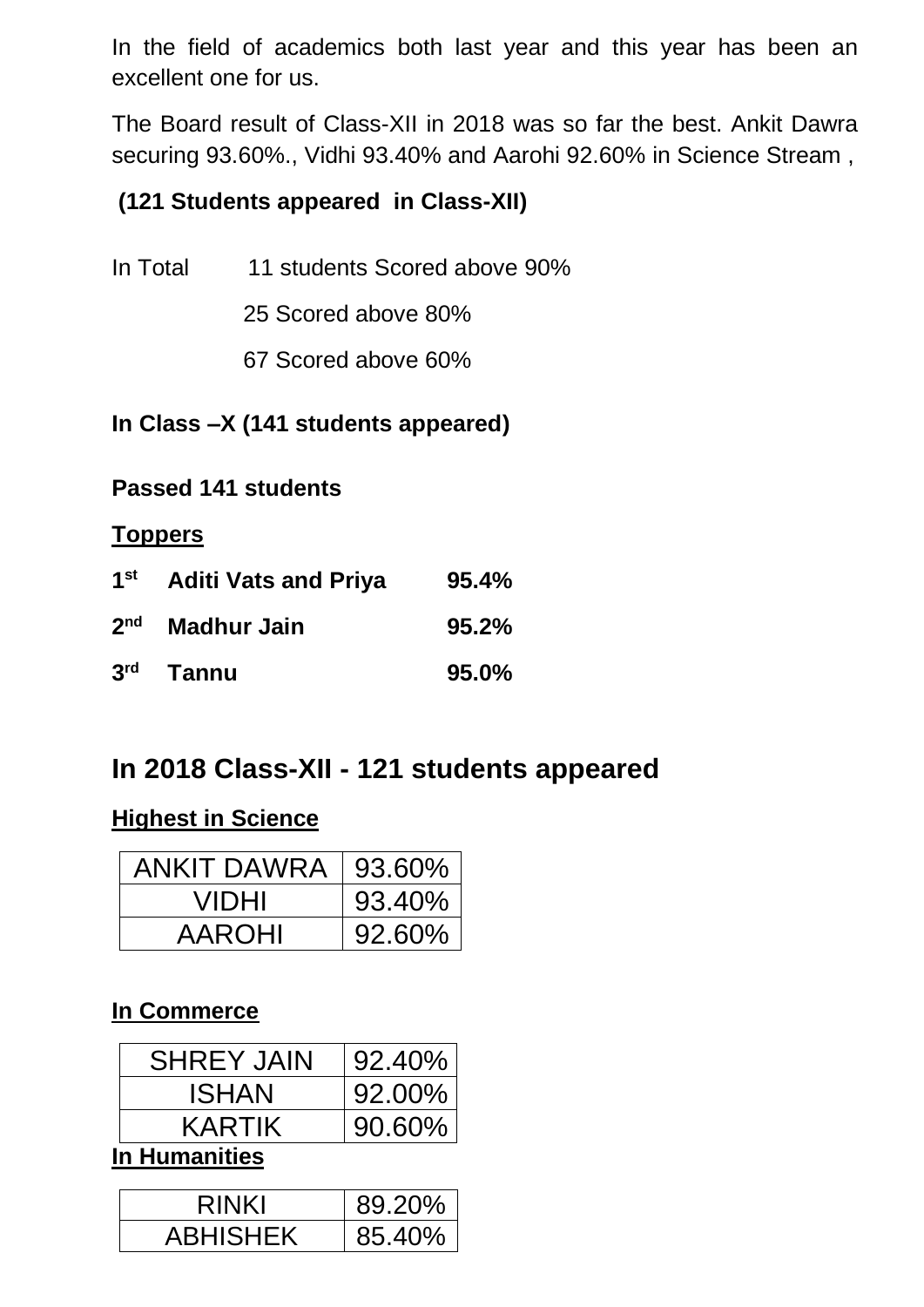In the field of academics both last year and this year has been an excellent one for us.

The Board result of Class-XII in 2018 was so far the best. Ankit Dawra securing 93.60%., Vidhi 93.40% and Aarohi 92.60% in Science Stream ,

## **(121 Students appeared in Class-XII)**

- In Total 11 students Scored above 90%
	- 25 Scored above 80%
	- 67 Scored above 60%

## **In Class –X (141 students appeared)**

### **Passed 141 students**

### **Toppers**

| $1$ st | <b>Aditi Vats and Priya</b> | 95.4% |
|--------|-----------------------------|-------|
|        | 2 <sup>nd</sup> Madhur Jain | 95.2% |
|        | 3rd Tannu                   | 95.0% |

# **In 2018 Class-XII - 121 students appeared**

### **Highest in Science**

| <b>ANKIT DAWRA</b> | 93.60% |
|--------------------|--------|
| <b>VIDHI</b>       | 93.40% |
| <b>AAROHI</b>      | 92.60% |

### **In Commerce**

| <b>SHREY JAIN</b> | $92.40\%$ |  |  |
|-------------------|-----------|--|--|
| ISHAN             | $92.00\%$ |  |  |
| KARTIK            | $90.60\%$ |  |  |
| In Uumanitiaa     |           |  |  |

**In Humanities**

| <b>RINKI</b>    | 89.20% |
|-----------------|--------|
| <b>ABHISHEK</b> | 85.40% |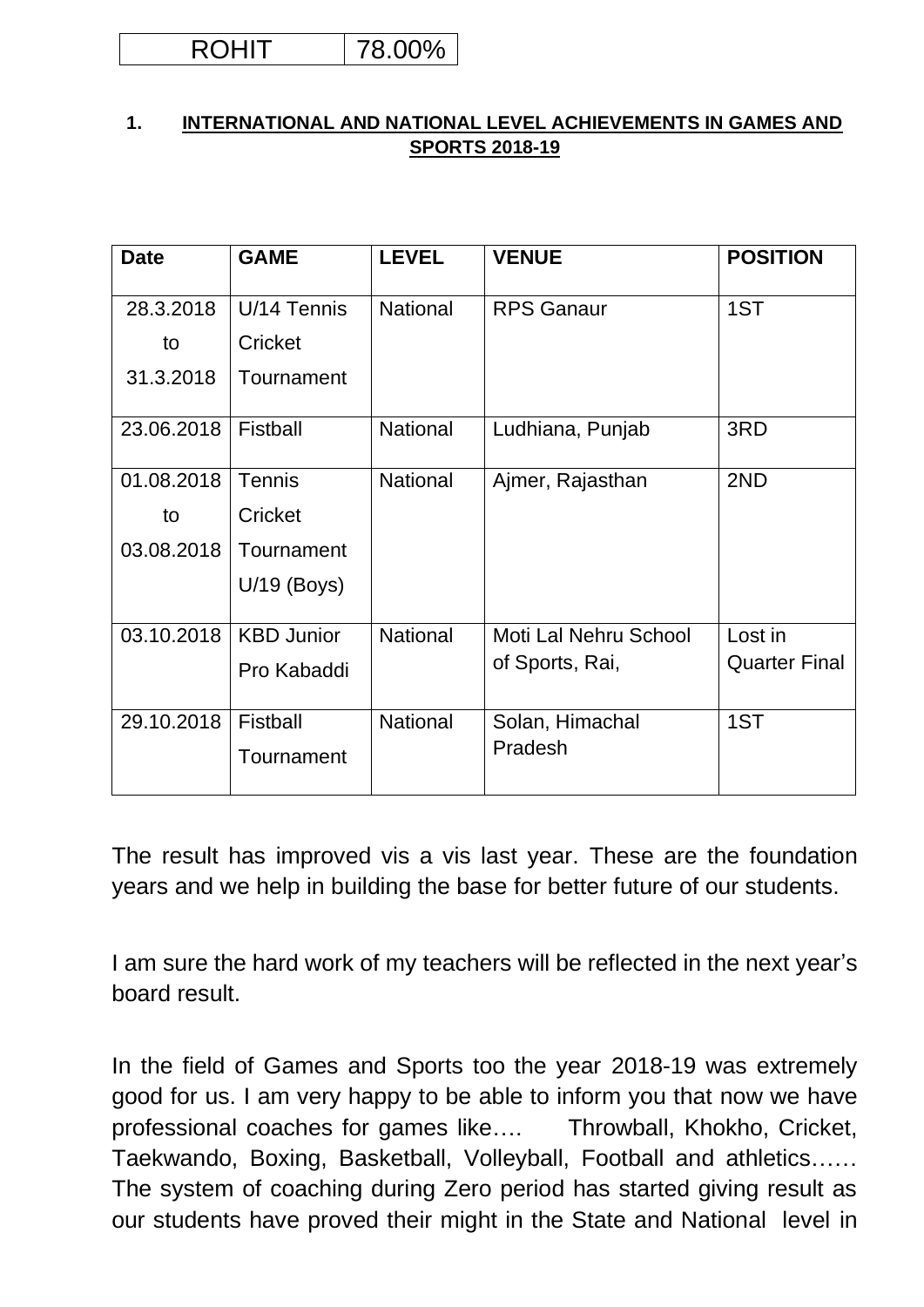| łΓ | 10%<br><sup>1</sup><br>J 70 |
|----|-----------------------------|
|----|-----------------------------|

#### **1. INTERNATIONAL AND NATIONAL LEVEL ACHIEVEMENTS IN GAMES AND SPORTS 2018-19**

| <b>Date</b> | <b>GAME</b>       | <b>LEVEL</b>    | <b>VENUE</b>          | <b>POSITION</b>      |
|-------------|-------------------|-----------------|-----------------------|----------------------|
| 28.3.2018   | U/14 Tennis       | <b>National</b> | <b>RPS Ganaur</b>     | 1ST                  |
| to          | Cricket           |                 |                       |                      |
| 31.3.2018   | Tournament        |                 |                       |                      |
| 23.06.2018  | Fistball          | <b>National</b> | Ludhiana, Punjab      | 3RD                  |
| 01.08.2018  | <b>Tennis</b>     | <b>National</b> | Ajmer, Rajasthan      | 2ND                  |
| to          | Cricket           |                 |                       |                      |
| 03.08.2018  | Tournament        |                 |                       |                      |
|             | $U/19$ (Boys)     |                 |                       |                      |
| 03.10.2018  | <b>KBD Junior</b> | <b>National</b> | Moti Lal Nehru School | Lost in              |
|             | Pro Kabaddi       |                 | of Sports, Rai,       | <b>Quarter Final</b> |
| 29.10.2018  | Fistball          | <b>National</b> | Solan, Himachal       | 1ST                  |
|             | Tournament        |                 | Pradesh               |                      |

The result has improved vis a vis last year. These are the foundation years and we help in building the base for better future of our students.

I am sure the hard work of my teachers will be reflected in the next year's board result.

In the field of Games and Sports too the year 2018-19 was extremely good for us. I am very happy to be able to inform you that now we have professional coaches for games like…. Throwball, Khokho, Cricket, Taekwando, Boxing, Basketball, Volleyball, Football and athletics…… The system of coaching during Zero period has started giving result as our students have proved their might in the State and National level in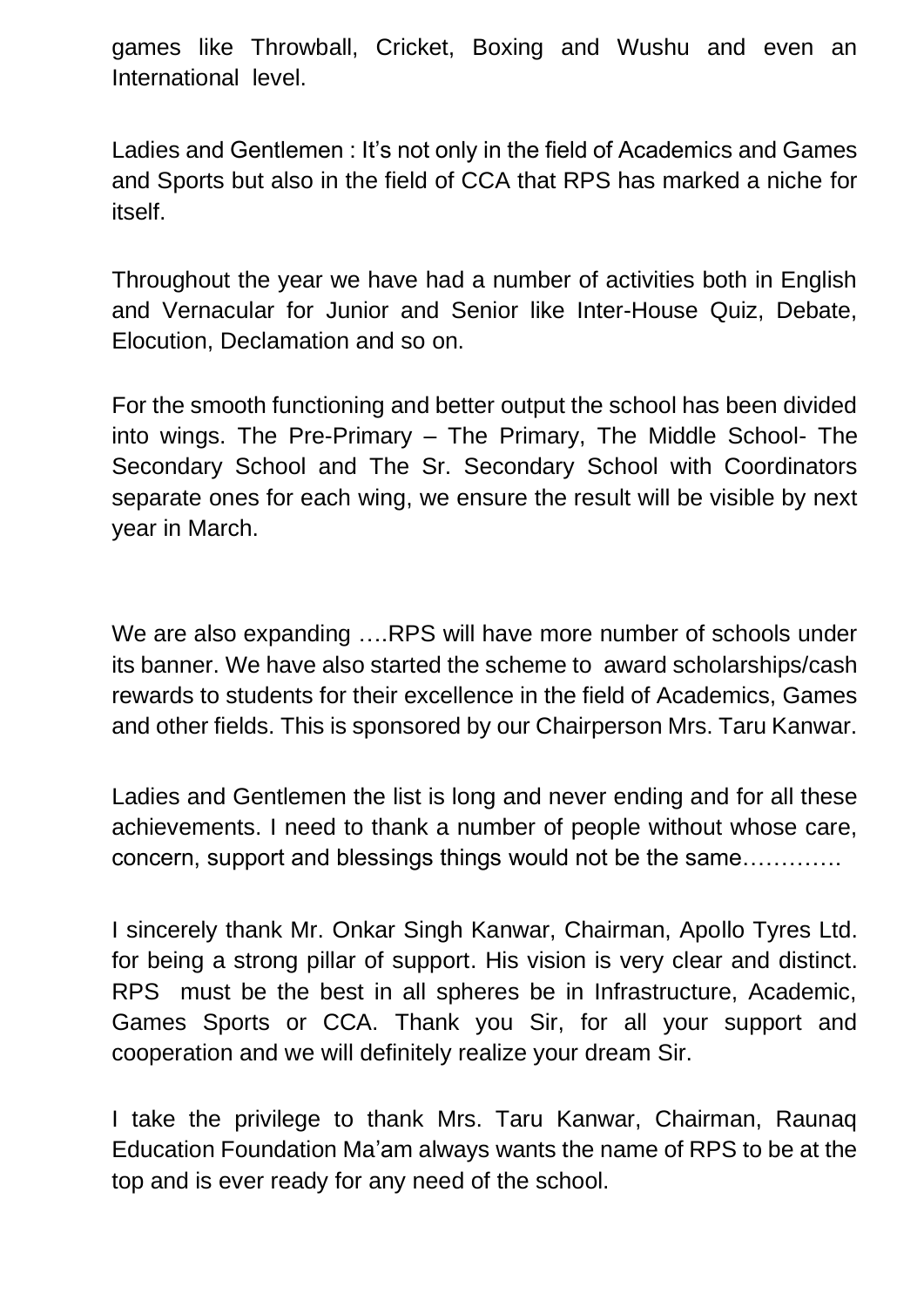games like Throwball, Cricket, Boxing and Wushu and even an International level.

Ladies and Gentlemen : It's not only in the field of Academics and Games and Sports but also in the field of CCA that RPS has marked a niche for itself.

Throughout the year we have had a number of activities both in English and Vernacular for Junior and Senior like Inter-House Quiz, Debate, Elocution, Declamation and so on.

For the smooth functioning and better output the school has been divided into wings. The Pre-Primary – The Primary, The Middle School- The Secondary School and The Sr. Secondary School with Coordinators separate ones for each wing, we ensure the result will be visible by next year in March.

We are also expanding ….RPS will have more number of schools under its banner. We have also started the scheme to award scholarships/cash rewards to students for their excellence in the field of Academics, Games and other fields. This is sponsored by our Chairperson Mrs. Taru Kanwar.

Ladies and Gentlemen the list is long and never ending and for all these achievements. I need to thank a number of people without whose care, concern, support and blessings things would not be the same………….

I sincerely thank Mr. Onkar Singh Kanwar, Chairman, Apollo Tyres Ltd. for being a strong pillar of support. His vision is very clear and distinct. RPS must be the best in all spheres be in Infrastructure, Academic, Games Sports or CCA. Thank you Sir, for all your support and cooperation and we will definitely realize your dream Sir.

I take the privilege to thank Mrs. Taru Kanwar, Chairman, Raunaq Education Foundation Ma'am always wants the name of RPS to be at the top and is ever ready for any need of the school.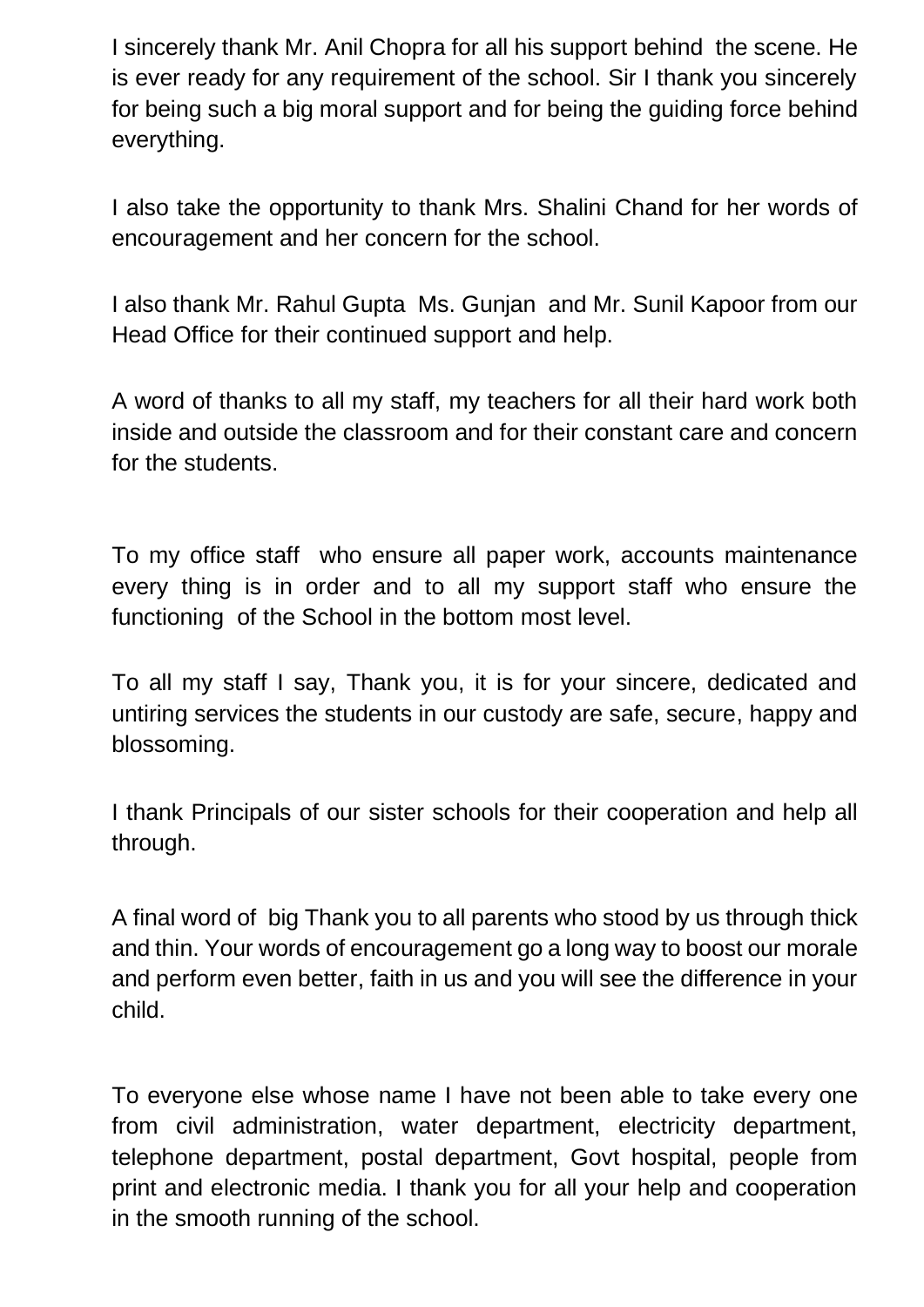I sincerely thank Mr. Anil Chopra for all his support behind the scene. He is ever ready for any requirement of the school. Sir I thank you sincerely for being such a big moral support and for being the guiding force behind everything.

I also take the opportunity to thank Mrs. Shalini Chand for her words of encouragement and her concern for the school.

I also thank Mr. Rahul Gupta Ms. Gunjan and Mr. Sunil Kapoor from our Head Office for their continued support and help.

A word of thanks to all my staff, my teachers for all their hard work both inside and outside the classroom and for their constant care and concern for the students.

To my office staff who ensure all paper work, accounts maintenance every thing is in order and to all my support staff who ensure the functioning of the School in the bottom most level.

To all my staff I say, Thank you, it is for your sincere, dedicated and untiring services the students in our custody are safe, secure, happy and blossoming.

I thank Principals of our sister schools for their cooperation and help all through.

A final word of big Thank you to all parents who stood by us through thick and thin. Your words of encouragement go a long way to boost our morale and perform even better, faith in us and you will see the difference in your child.

To everyone else whose name I have not been able to take every one from civil administration, water department, electricity department, telephone department, postal department, Govt hospital, people from print and electronic media. I thank you for all your help and cooperation in the smooth running of the school.